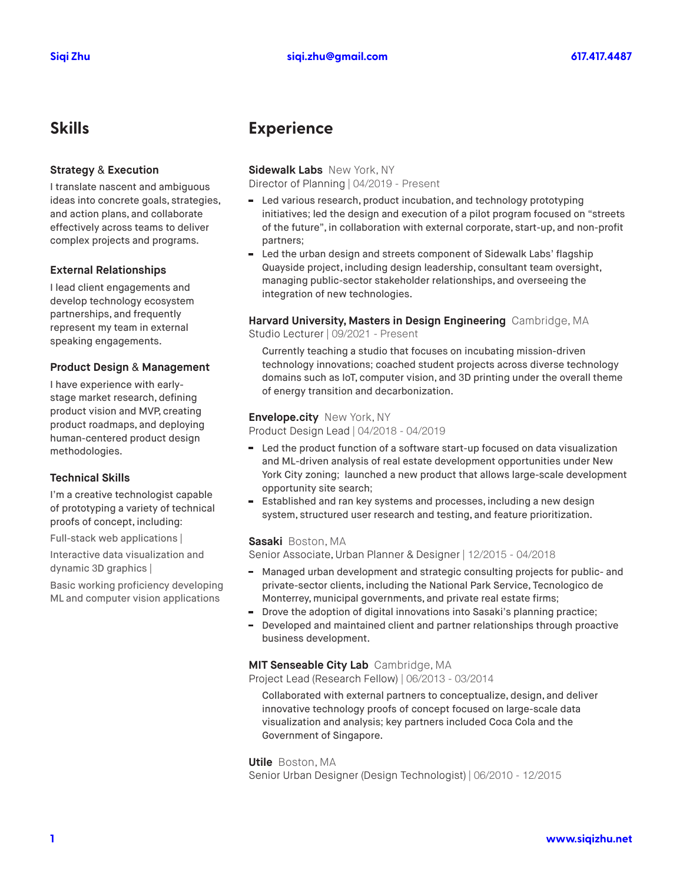#### **Strategy** & **Execution**

I translate nascent and ambiguous ideas into concrete goals, strategies, and action plans, and collaborate effectively across teams to deliver complex projects and programs.

#### **External Relationships**

I lead client engagements and develop technology ecosystem partnerships, and frequently represent my team in external speaking engagements.

#### **Product Design** & **Management**

I have experience with earlystage market research, defining product vision and MVP, creating product roadmaps, and deploying human-centered product design methodologies.

### **Technical Skills**

I'm a creative technologist capable of prototyping a variety of technical proofs of concept, including:

Full-stack web applications |

Interactive data visualization and dynamic 3D graphics |

Basic working proficiency developing ML and computer vision applications

## **Skills Experience**

#### **Sidewalk Labs** New York, NY

Director of Planning | 04/2019 - Present

- $\sim$ Led various research, product incubation, and technology prototyping initiatives; led the design and execution of a pilot program focused on "streets of the future", in collaboration with external corporate, start-up, and non-profit partners;
- Led the urban design and streets component of Sidewalk Labs' flagship Quayside project, including design leadership, consultant team oversight, managing public-sector stakeholder relationships, and overseeing the integration of new technologies.

## **Harvard University, Masters in Design Engineering** Cambridge, MA

Studio Lecturer | 09/2021 - Present

Currently teaching a studio that focuses on incubating mission-driven technology innovations; coached student projects across diverse technology domains such as IoT, computer vision, and 3D printing under the overall theme of energy transition and decarbonization.

#### **Envelope.city** New York, NY

Product Design Lead | 04/2018 - 04/2019

- Led the product function of a software start-up focused on data visualization н. and ML-driven analysis of real estate development opportunities under New York City zoning; launched a new product that allows large-scale development opportunity site search;
- Established and ran key systems and processes, including a new design m. system, structured user research and testing, and feature prioritization.

#### **Sasaki** Boston, MA

Senior Associate, Urban Planner & Designer | 12/2015 - 04/2018

- Managed urban development and strategic consulting projects for public- and private-sector clients, including the National Park Service, Tecnológico de Monterrey, municipal governments, and private real estate firms;
- Drove the adoption of digital innovations into Sasaki's planning practice;
- Developed and maintained client and partner relationships through proactive business development.

#### **MIT Senseable City Lab** Cambridge, MA

Project Lead (Research Fellow) | 06/2013 - 03/2014

Collaborated with external partners to conceptualize, design, and deliver innovative technology proofs of concept focused on large-scale data visualization and analysis; key partners included Coca Cola and the Government of Singapore.

**Utile** Boston, MA

Senior Urban Designer (Design Technologist) | 06/2010 - 12/2015